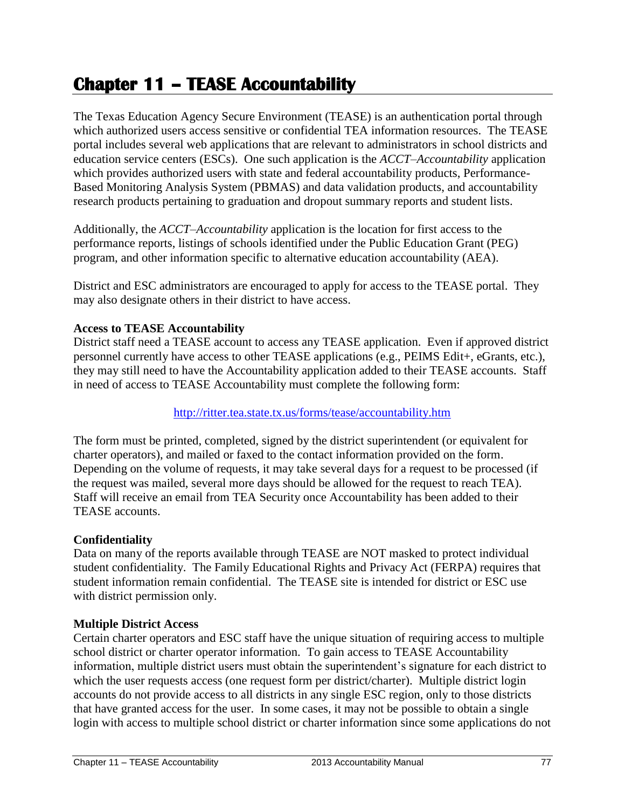# **Chapter 11 – TEASE Accountability**

The Texas Education Agency Secure Environment (TEASE) is an authentication portal through which authorized users access sensitive or confidential TEA information resources. The TEASE portal includes several web applications that are relevant to administrators in school districts and education service centers (ESCs). One such application is the *ACCT–Accountability* application which provides authorized users with state and federal accountability products, Performance-Based Monitoring Analysis System (PBMAS) and data validation products, and accountability research products pertaining to graduation and dropout summary reports and student lists.

Additionally, the *ACCT–Accountability* application is the location for first access to the performance reports, listings of schools identified under the Public Education Grant (PEG) program, and other information specific to alternative education accountability (AEA).

District and ESC administrators are encouraged to apply for access to the TEASE portal. They may also designate others in their district to have access.

#### **Access to TEASE Accountability**

District staff need a TEASE account to access any TEASE application. Even if approved district personnel currently have access to other TEASE applications (e.g., PEIMS Edit+, eGrants, etc.), they may still need to have the Accountability application added to their TEASE accounts. Staff in need of access to TEASE Accountability must complete the following form:

#### <http://ritter.tea.state.tx.us/forms/tease/accountability.htm>

The form must be printed, completed, signed by the district superintendent (or equivalent for charter operators), and mailed or faxed to the contact information provided on the form. Depending on the volume of requests, it may take several days for a request to be processed (if the request was mailed, several more days should be allowed for the request to reach TEA). Staff will receive an email from TEA Security once Accountability has been added to their TEASE accounts.

#### **Confidentiality**

Data on many of the reports available through TEASE are NOT masked to protect individual student confidentiality. The Family Educational Rights and Privacy Act (FERPA) requires that student information remain confidential. The TEASE site is intended for district or ESC use with district permission only.

#### **Multiple District Access**

Certain charter operators and ESC staff have the unique situation of requiring access to multiple school district or charter operator information. To gain access to TEASE Accountability information, multiple district users must obtain the superintendent's signature for each district to which the user requests access (one request form per district/charter). Multiple district login accounts do not provide access to all districts in any single ESC region, only to those districts that have granted access for the user. In some cases, it may not be possible to obtain a single login with access to multiple school district or charter information since some applications do not